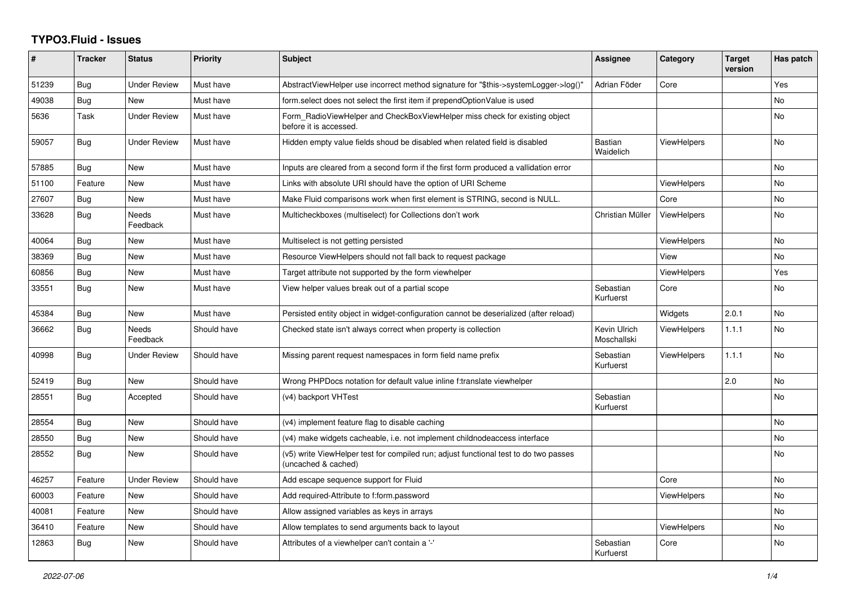## **TYPO3.Fluid - Issues**

| #     | <b>Tracker</b> | <b>Status</b>       | Priority    | <b>Subject</b>                                                                                              | Assignee                    | Category           | <b>Target</b><br>version | Has patch      |
|-------|----------------|---------------------|-------------|-------------------------------------------------------------------------------------------------------------|-----------------------------|--------------------|--------------------------|----------------|
| 51239 | Bug            | <b>Under Review</b> | Must have   | AbstractViewHelper use incorrect method signature for "\$this->systemLogger->log()"                         | Adrian Föder                | Core               |                          | Yes            |
| 49038 | Bug            | New                 | Must have   | form.select does not select the first item if prependOptionValue is used                                    |                             |                    |                          | No             |
| 5636  | Task           | <b>Under Review</b> | Must have   | Form RadioViewHelper and CheckBoxViewHelper miss check for existing object<br>before it is accessed.        |                             |                    |                          | <b>No</b>      |
| 59057 | <b>Bug</b>     | <b>Under Review</b> | Must have   | Hidden empty value fields shoud be disabled when related field is disabled                                  | <b>Bastian</b><br>Waidelich | <b>ViewHelpers</b> |                          | N <sub>o</sub> |
| 57885 | Bug            | New                 | Must have   | Inputs are cleared from a second form if the first form produced a vallidation error                        |                             |                    |                          | <b>No</b>      |
| 51100 | Feature        | New                 | Must have   | Links with absolute URI should have the option of URI Scheme                                                |                             | <b>ViewHelpers</b> |                          | <b>No</b>      |
| 27607 | <b>Bug</b>     | <b>New</b>          | Must have   | Make Fluid comparisons work when first element is STRING, second is NULL.                                   |                             | Core               |                          | <b>No</b>      |
| 33628 | Bug            | Needs<br>Feedback   | Must have   | Multicheckboxes (multiselect) for Collections don't work                                                    | Christian Müller            | <b>ViewHelpers</b> |                          | No             |
| 40064 | Bug            | <b>New</b>          | Must have   | Multiselect is not getting persisted                                                                        |                             | <b>ViewHelpers</b> |                          | <b>No</b>      |
| 38369 | <b>Bug</b>     | <b>New</b>          | Must have   | Resource ViewHelpers should not fall back to request package                                                |                             | View               |                          | N <sub>o</sub> |
| 60856 | <b>Bug</b>     | New                 | Must have   | Target attribute not supported by the form viewhelper                                                       |                             | <b>ViewHelpers</b> |                          | Yes            |
| 33551 | Bug            | New                 | Must have   | View helper values break out of a partial scope                                                             | Sebastian<br>Kurfuerst      | Core               |                          | <b>No</b>      |
| 45384 | <b>Bug</b>     | <b>New</b>          | Must have   | Persisted entity object in widget-configuration cannot be deserialized (after reload)                       |                             | Widgets            | 2.0.1                    | <b>No</b>      |
| 36662 | Bug            | Needs<br>Feedback   | Should have | Checked state isn't always correct when property is collection                                              | Kevin Ulrich<br>Moschallski | <b>ViewHelpers</b> | 1.1.1                    | No             |
| 40998 | Bug            | <b>Under Review</b> | Should have | Missing parent request namespaces in form field name prefix                                                 | Sebastian<br>Kurfuerst      | <b>ViewHelpers</b> | 1.1.1                    | <b>No</b>      |
| 52419 | Bug            | <b>New</b>          | Should have | Wrong PHPDocs notation for default value inline f:translate viewhelper                                      |                             |                    | 2.0                      | <b>No</b>      |
| 28551 | Bug            | Accepted            | Should have | (v4) backport VHTest                                                                                        | Sebastian<br>Kurfuerst      |                    |                          | No             |
| 28554 | Bug            | <b>New</b>          | Should have | (v4) implement feature flag to disable caching                                                              |                             |                    |                          | <b>No</b>      |
| 28550 | Bug            | New                 | Should have | (v4) make widgets cacheable, i.e. not implement childnodeaccess interface                                   |                             |                    |                          | <b>No</b>      |
| 28552 | Bug            | New                 | Should have | (v5) write ViewHelper test for compiled run; adjust functional test to do two passes<br>(uncached & cached) |                             |                    |                          | No             |
| 46257 | Feature        | <b>Under Review</b> | Should have | Add escape sequence support for Fluid                                                                       |                             | Core               |                          | <b>No</b>      |
| 60003 | Feature        | New                 | Should have | Add required-Attribute to f:form.password                                                                   |                             | <b>ViewHelpers</b> |                          | <b>No</b>      |
| 40081 | Feature        | New                 | Should have | Allow assigned variables as keys in arrays                                                                  |                             |                    |                          | No             |
| 36410 | Feature        | New                 | Should have | Allow templates to send arguments back to layout                                                            |                             | <b>ViewHelpers</b> |                          | <b>No</b>      |
| 12863 | Bug            | New                 | Should have | Attributes of a viewhelper can't contain a '-'                                                              | Sebastian<br>Kurfuerst      | Core               |                          | <b>No</b>      |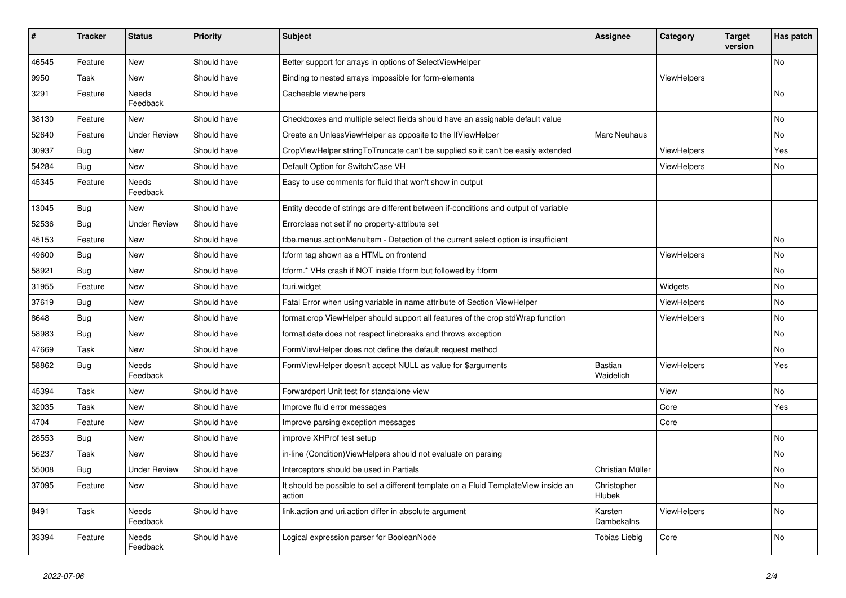| $\vert$ # | <b>Tracker</b> | <b>Status</b>       | <b>Priority</b> | <b>Subject</b>                                                                                | <b>Assignee</b>             | Category           | <b>Target</b><br>version | Has patch |
|-----------|----------------|---------------------|-----------------|-----------------------------------------------------------------------------------------------|-----------------------------|--------------------|--------------------------|-----------|
| 46545     | Feature        | <b>New</b>          | Should have     | Better support for arrays in options of SelectViewHelper                                      |                             |                    |                          | No        |
| 9950      | Task           | New                 | Should have     | Binding to nested arrays impossible for form-elements                                         |                             | <b>ViewHelpers</b> |                          |           |
| 3291      | Feature        | Needs<br>Feedback   | Should have     | Cacheable viewhelpers                                                                         |                             |                    |                          | <b>No</b> |
| 38130     | Feature        | New                 | Should have     | Checkboxes and multiple select fields should have an assignable default value                 |                             |                    |                          | <b>No</b> |
| 52640     | Feature        | <b>Under Review</b> | Should have     | Create an UnlessViewHelper as opposite to the IfViewHelper                                    | Marc Neuhaus                |                    |                          | No        |
| 30937     | Bug            | New                 | Should have     | CropViewHelper stringToTruncate can't be supplied so it can't be easily extended              |                             | ViewHelpers        |                          | Yes       |
| 54284     | Bug            | New                 | Should have     | Default Option for Switch/Case VH                                                             |                             | <b>ViewHelpers</b> |                          | No        |
| 45345     | Feature        | Needs<br>Feedback   | Should have     | Easy to use comments for fluid that won't show in output                                      |                             |                    |                          |           |
| 13045     | <b>Bug</b>     | New                 | Should have     | Entity decode of strings are different between if-conditions and output of variable           |                             |                    |                          |           |
| 52536     | Bug            | <b>Under Review</b> | Should have     | Errorclass not set if no property-attribute set                                               |                             |                    |                          |           |
| 45153     | Feature        | New                 | Should have     | f:be.menus.actionMenuItem - Detection of the current select option is insufficient            |                             |                    |                          | No        |
| 49600     | Bug            | New                 | Should have     | f:form tag shown as a HTML on frontend                                                        |                             | ViewHelpers        |                          | <b>No</b> |
| 58921     | Bug            | New                 | Should have     | f:form.* VHs crash if NOT inside f:form but followed by f:form                                |                             |                    |                          | <b>No</b> |
| 31955     | Feature        | New                 | Should have     | f:uri.widget                                                                                  |                             | Widgets            |                          | <b>No</b> |
| 37619     | Bug            | New                 | Should have     | Fatal Error when using variable in name attribute of Section ViewHelper                       |                             | <b>ViewHelpers</b> |                          | <b>No</b> |
| 8648      | Bug            | New                 | Should have     | format.crop ViewHelper should support all features of the crop stdWrap function               |                             | ViewHelpers        |                          | <b>No</b> |
| 58983     | Bug            | New                 | Should have     | format.date does not respect linebreaks and throws exception                                  |                             |                    |                          | No        |
| 47669     | Task           | <b>New</b>          | Should have     | FormViewHelper does not define the default request method                                     |                             |                    |                          | <b>No</b> |
| 58862     | Bug            | Needs<br>Feedback   | Should have     | FormViewHelper doesn't accept NULL as value for \$arguments                                   | <b>Bastian</b><br>Waidelich | <b>ViewHelpers</b> |                          | Yes       |
| 45394     | Task           | New                 | Should have     | Forwardport Unit test for standalone view                                                     |                             | View               |                          | No        |
| 32035     | Task           | New                 | Should have     | Improve fluid error messages                                                                  |                             | Core               |                          | Yes       |
| 4704      | Feature        | New                 | Should have     | Improve parsing exception messages                                                            |                             | Core               |                          |           |
| 28553     | Bug            | New                 | Should have     | improve XHProf test setup                                                                     |                             |                    |                          | No        |
| 56237     | Task           | New                 | Should have     | in-line (Condition) View Helpers should not evaluate on parsing                               |                             |                    |                          | No        |
| 55008     | Bug            | <b>Under Review</b> | Should have     | Interceptors should be used in Partials                                                       | Christian Müller            |                    |                          | No        |
| 37095     | Feature        | New                 | Should have     | It should be possible to set a different template on a Fluid TemplateView inside an<br>action | Christopher<br>Hlubek       |                    |                          | No        |
| 8491      | Task           | Needs<br>Feedback   | Should have     | link.action and uri.action differ in absolute argument                                        | Karsten<br>Dambekalns       | <b>ViewHelpers</b> |                          | No.       |
| 33394     | Feature        | Needs<br>Feedback   | Should have     | Logical expression parser for BooleanNode                                                     | <b>Tobias Liebig</b>        | Core               |                          | <b>No</b> |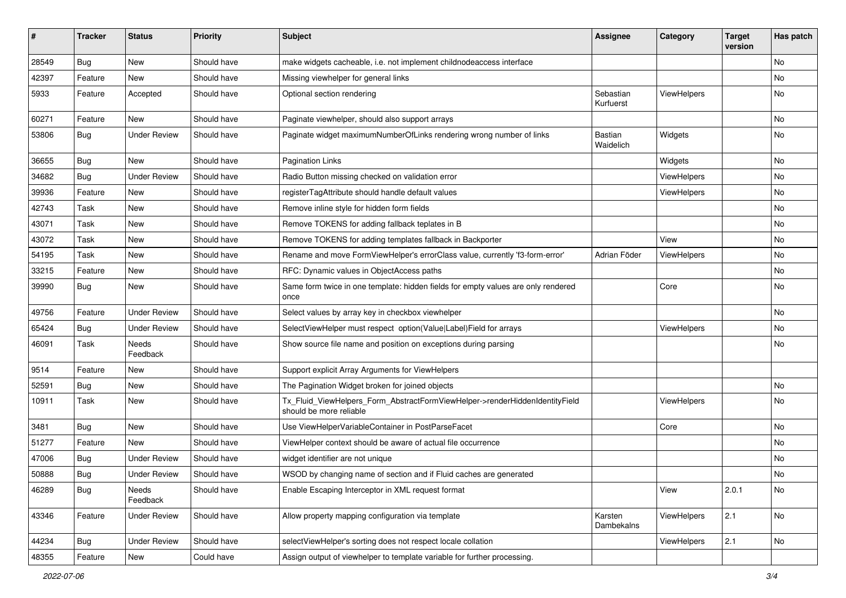| #     | <b>Tracker</b> | <b>Status</b>       | <b>Priority</b> | Subject                                                                                                | <b>Assignee</b>             | Category    | <b>Target</b><br>version | Has patch |
|-------|----------------|---------------------|-----------------|--------------------------------------------------------------------------------------------------------|-----------------------------|-------------|--------------------------|-----------|
| 28549 | Bug            | New                 | Should have     | make widgets cacheable, i.e. not implement childnodeaccess interface                                   |                             |             |                          | <b>No</b> |
| 42397 | Feature        | <b>New</b>          | Should have     | Missing viewhelper for general links                                                                   |                             |             |                          | No        |
| 5933  | Feature        | Accepted            | Should have     | Optional section rendering                                                                             | Sebastian<br>Kurfuerst      | ViewHelpers |                          | No        |
| 60271 | Feature        | New                 | Should have     | Paginate viewhelper, should also support arrays                                                        |                             |             |                          | No        |
| 53806 | Bug            | <b>Under Review</b> | Should have     | Paginate widget maximumNumberOfLinks rendering wrong number of links                                   | <b>Bastian</b><br>Waidelich | Widgets     |                          | No        |
| 36655 | Bug            | New                 | Should have     | <b>Pagination Links</b>                                                                                |                             | Widgets     |                          | No        |
| 34682 | Bug            | <b>Under Review</b> | Should have     | Radio Button missing checked on validation error                                                       |                             | ViewHelpers |                          | No        |
| 39936 | Feature        | New                 | Should have     | registerTagAttribute should handle default values                                                      |                             | ViewHelpers |                          | No        |
| 42743 | Task           | New                 | Should have     | Remove inline style for hidden form fields                                                             |                             |             |                          | No        |
| 43071 | Task           | New                 | Should have     | Remove TOKENS for adding fallback teplates in B                                                        |                             |             |                          | No        |
| 43072 | Task           | New                 | Should have     | Remove TOKENS for adding templates fallback in Backporter                                              |                             | View        |                          | No        |
| 54195 | Task           | New                 | Should have     | Rename and move FormViewHelper's errorClass value, currently 'f3-form-error'                           | Adrian Föder                | ViewHelpers |                          | No.       |
| 33215 | Feature        | New                 | Should have     | RFC: Dynamic values in ObjectAccess paths                                                              |                             |             |                          | No        |
| 39990 | Bug            | New                 | Should have     | Same form twice in one template: hidden fields for empty values are only rendered<br>once              |                             | Core        |                          | No        |
| 49756 | Feature        | <b>Under Review</b> | Should have     | Select values by array key in checkbox viewhelper                                                      |                             |             |                          | No        |
| 65424 | Bug            | <b>Under Review</b> | Should have     | SelectViewHelper must respect option(Value Label)Field for arrays                                      |                             | ViewHelpers |                          | No        |
| 46091 | Task           | Needs<br>Feedback   | Should have     | Show source file name and position on exceptions during parsing                                        |                             |             |                          | No        |
| 9514  | Feature        | New                 | Should have     | Support explicit Array Arguments for ViewHelpers                                                       |                             |             |                          |           |
| 52591 | Bug            | New                 | Should have     | The Pagination Widget broken for joined objects                                                        |                             |             |                          | No        |
| 10911 | Task           | New                 | Should have     | Tx_Fluid_ViewHelpers_Form_AbstractFormViewHelper->renderHiddenIdentityField<br>should be more reliable |                             | ViewHelpers |                          | No        |
| 3481  | Bug            | New                 | Should have     | Use ViewHelperVariableContainer in PostParseFacet                                                      |                             | Core        |                          | No        |
| 51277 | Feature        | New                 | Should have     | ViewHelper context should be aware of actual file occurrence                                           |                             |             |                          | No        |
| 47006 | Bug            | <b>Under Review</b> | Should have     | widget identifier are not unique                                                                       |                             |             |                          | No        |
| 50888 | Bug            | Under Review        | Should have     | WSOD by changing name of section and if Fluid caches are generated                                     |                             |             |                          | No        |
| 46289 | Bug            | Needs<br>Feedback   | Should have     | Enable Escaping Interceptor in XML request format                                                      |                             | View        | 2.0.1                    | No        |
| 43346 | Feature        | <b>Under Review</b> | Should have     | Allow property mapping configuration via template                                                      | Karsten<br>Dambekalns       | ViewHelpers | 2.1                      | No        |
| 44234 | Bug            | <b>Under Review</b> | Should have     | selectViewHelper's sorting does not respect locale collation                                           |                             | ViewHelpers | 2.1                      | No        |
| 48355 | Feature        | New                 | Could have      | Assign output of viewhelper to template variable for further processing.                               |                             |             |                          |           |